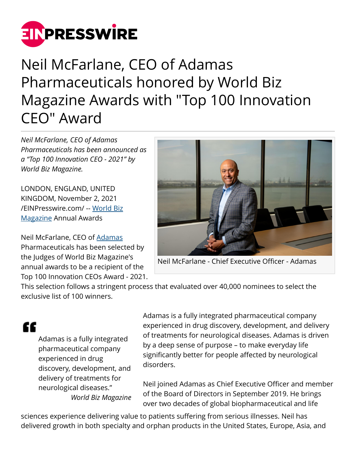

# Neil McFarlane, CEO of Adamas Pharmaceuticals honored by World Biz Magazine Awards with "Top 100 Innovation CEO" Award

*Neil McFarlane, CEO of Adamas Pharmaceuticals has been announced as a "Top 100 Innovation CEO - 2021" by World Biz Magazine.*

LONDON, ENGLAND, UNITED KINGDOM, November 2, 2021 [/EINPresswire.com/](http://www.einpresswire.com) -- [World Biz](http://www.worldbizmagazine.net) [Magazine](http://www.worldbizmagazine.net) Annual Awards

Neil McFarlane, CEO of [Adamas](http://www.adamaspharma.com) Pharmaceuticals has been selected by the Judges of World Biz Magazine's annual awards to be a recipient of the Top 100 Innovation CEOs Award - 2021.



Neil McFarlane - Chief Executive Officer - Adamas

This selection follows a stringent process that evaluated over 40,000 nominees to select the exclusive list of 100 winners.

## "

Adamas is a fully integrated pharmaceutical company experienced in drug discovery, development, and delivery of treatments for neurological diseases." *World Biz Magazine* Adamas is a fully integrated pharmaceutical company experienced in drug discovery, development, and delivery of treatments for neurological diseases. Adamas is driven by a deep sense of purpose – to make everyday life significantly better for people affected by neurological disorders.

Neil joined Adamas as Chief Executive Officer and member of the Board of Directors in September 2019. He brings over two decades of global biopharmaceutical and life

sciences experience delivering value to patients suffering from serious illnesses. Neil has delivered growth in both specialty and orphan products in the United States, Europe, Asia, and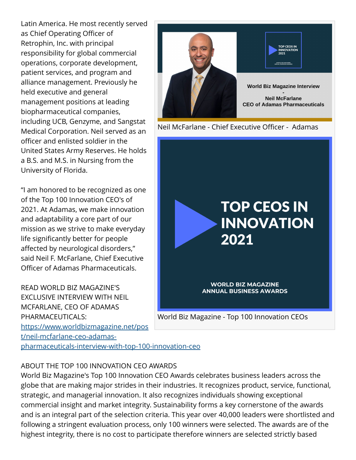Latin America. He most recently served as Chief Operating Officer of Retrophin, Inc. with principal responsibility for global commercial operations, corporate development, patient services, and program and alliance management. Previously he held executive and general management positions at leading biopharmaceutical companies, including UCB, Genzyme, and Sangstat Medical Corporation. Neil served as an officer and enlisted soldier in the United States Army Reserves. He holds a B.S. and M.S. in Nursing from the University of Florida.

"I am honored to be recognized as one of the Top 100 Innovation CEO's of 2021. At Adamas, we make innovation and adaptability a core part of our mission as we strive to make everyday life significantly better for people affected by neurological disorders," said Neil F. McFarlane, Chief Executive Officer of Adamas Pharmaceuticals.

READ WORLD BIZ MAGAZINE'S EXCLUSIVE INTERVIEW WITH NEIL MCFARLANE, CEO OF ADAMAS PHARMACEUTICALS: [https://www.worldbizmagazine.net/pos](https://www.worldbizmagazine.net/post/neil-mcfarlane-ceo-adamas-pharmaceuticals-interview-with-top-100-innovation-ceo) [t/neil-mcfarlane-ceo-adamas-](https://www.worldbizmagazine.net/post/neil-mcfarlane-ceo-adamas-pharmaceuticals-interview-with-top-100-innovation-ceo)

[pharmaceuticals-interview-with-top-100-innovation-ceo](https://www.worldbizmagazine.net/post/neil-mcfarlane-ceo-adamas-pharmaceuticals-interview-with-top-100-innovation-ceo)

### ABOUT THE TOP 100 INNOVATION CEO AWARDS

World Biz Magazine's Top 100 Innovation CEO Awards celebrates business leaders across the globe that are making major strides in their industries. It recognizes product, service, functional, strategic, and managerial innovation. It also recognizes individuals showing exceptional commercial insight and market integrity. Sustainability forms a key cornerstone of the awards and is an integral part of the selection criteria. This year over 40,000 leaders were shortlisted and following a stringent evaluation process, only 100 winners were selected. The awards are of the highest integrity, there is no cost to participate therefore winners are selected strictly based



Neil McFarlane - Chief Executive Officer - Adamas